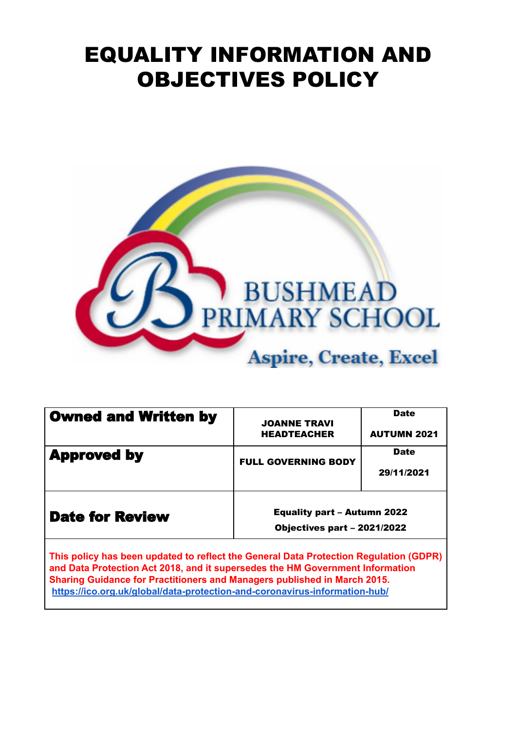# EQUALITY INFORMATION AND OBJECTIVES POLICY



| <b>Owned and Written by</b>                                                                                                                                            | <b>JOANNE TRAVI</b><br><b>HEADTEACHER</b> | <b>Date</b><br><b>AUTUMN 2021</b> |
|------------------------------------------------------------------------------------------------------------------------------------------------------------------------|-------------------------------------------|-----------------------------------|
| <b>Approved by</b>                                                                                                                                                     | <b>FULL GOVERNING BODY</b>                | <b>Date</b>                       |
|                                                                                                                                                                        |                                           | 29/11/2021                        |
| <b>Date for Review</b>                                                                                                                                                 | <b>Equality part - Autumn 2022</b>        |                                   |
|                                                                                                                                                                        | Objectives part - 2021/2022               |                                   |
| This policy has been updated to reflect the General Data Protection Regulation (GDPR)<br>and Data Protection Act 2018, and it supersedes the HM Government Information |                                           |                                   |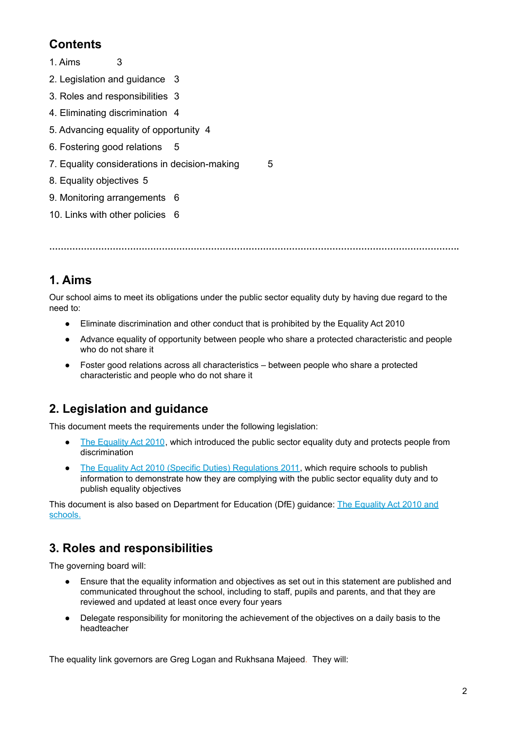# **Contents**

- 1. Aims [3](#page-1-0)
- 2. Legislation and guidance [3](#page-1-1)
- 3. Roles and responsibilities [3](#page-1-2)
- 4. Eliminating discrimination [4](#page-2-0)
- 5. Advancing equality of opportunity [4](#page-2-1)
- 6. Fostering good relations [5](#page-3-0)
- 7. Equality considerations in decision-making [5](#page-3-1)
- 8. Equality objectives [5](#page-3-2)
- 9. Monitoring arrangements [6](#page-4-0)
- 10. Links with other policies 6

<span id="page-1-0"></span>**…………………………………………………………………………………………………………………………….**

# **1. Aims**

Our school aims to meet its obligations under the public sector equality duty by having due regard to the need to:

- Eliminate discrimination and other conduct that is prohibited by the Equality Act 2010
- Advance equality of opportunity between people who share a protected characteristic and people who do not share it
- <span id="page-1-1"></span>● Foster good relations across all characteristics – between people who share a protected characteristic and people who do not share it

# **2. Legislation and guidance**

This document meets the requirements under the following legislation:

- The [Equality](http://www.legislation.gov.uk/ukpga/2010/15/contents) Act 2010, which introduced the public sector equality duty and protects people from discrimination
- The Equality Act 2010 (Specific Duties) [Regulations](http://www.legislation.gov.uk/uksi/2011/2260/contents/made) 2011, which require schools to publish information to demonstrate how they are complying with the public sector equality duty and to publish equality objectives

<span id="page-1-2"></span>This document is also based on Department for Education (DfE) guidance: The [Equality](https://www.gov.uk/government/uploads/system/uploads/attachment_data/file/315587/Equality_Act_Advice_Final.pdf) Act 2010 and [schools.](https://www.gov.uk/government/uploads/system/uploads/attachment_data/file/315587/Equality_Act_Advice_Final.pdf)

# **3. Roles and responsibilities**

The governing board will:

- Ensure that the equality information and objectives as set out in this statement are published and communicated throughout the school, including to staff, pupils and parents, and that they are reviewed and updated at least once every four years
- Delegate responsibility for monitoring the achievement of the objectives on a daily basis to the headteacher

The equality link governors are Greg Logan and Rukhsana Majeed. They will: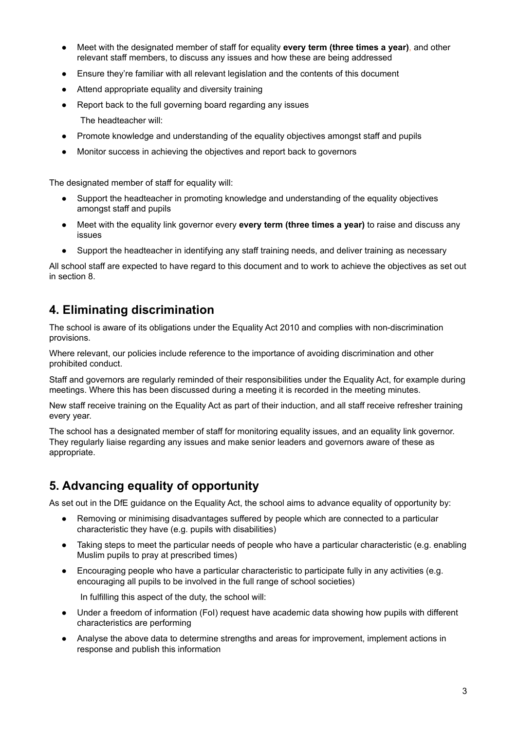- Meet with the designated member of staff for equality **every term (three times a year)**, and other relevant staff members, to discuss any issues and how these are being addressed
- Ensure they're familiar with all relevant legislation and the contents of this document
- Attend appropriate equality and diversity training
- Report back to the full governing board regarding any issues

The headteacher will:

- Promote knowledge and understanding of the equality objectives amongst staff and pupils
- Monitor success in achieving the objectives and report back to governors

The designated member of staff for equality will:

- Support the headteacher in promoting knowledge and understanding of the equality objectives amongst staff and pupils
- Meet with the equality link governor every **every term (three times a year)** to raise and discuss any issues
- Support the headteacher in identifying any staff training needs, and deliver training as necessary

<span id="page-2-0"></span>All school staff are expected to have regard to this document and to work to achieve the objectives as set out in section 8.

#### **4. Eliminating discrimination**

The school is aware of its obligations under the Equality Act 2010 and complies with non-discrimination provisions.

Where relevant, our policies include reference to the importance of avoiding discrimination and other prohibited conduct.

Staff and governors are regularly reminded of their responsibilities under the Equality Act, for example during meetings. Where this has been discussed during a meeting it is recorded in the meeting minutes.

New staff receive training on the Equality Act as part of their induction, and all staff receive refresher training every year.

<span id="page-2-1"></span>The school has a designated member of staff for monitoring equality issues, and an equality link governor. They regularly liaise regarding any issues and make senior leaders and governors aware of these as appropriate.

### **5. Advancing equality of opportunity**

As set out in the DfE guidance on the Equality Act, the school aims to advance equality of opportunity by:

- Removing or minimising disadvantages suffered by people which are connected to a particular characteristic they have (e.g. pupils with disabilities)
- Taking steps to meet the particular needs of people who have a particular characteristic (e.g. enabling Muslim pupils to pray at prescribed times)
- Encouraging people who have a particular characteristic to participate fully in any activities (e.g. encouraging all pupils to be involved in the full range of school societies)

In fulfilling this aspect of the duty, the school will:

- Under a freedom of information (FoI) request have academic data showing how pupils with different characteristics are performing
- Analyse the above data to determine strengths and areas for improvement, implement actions in response and publish this information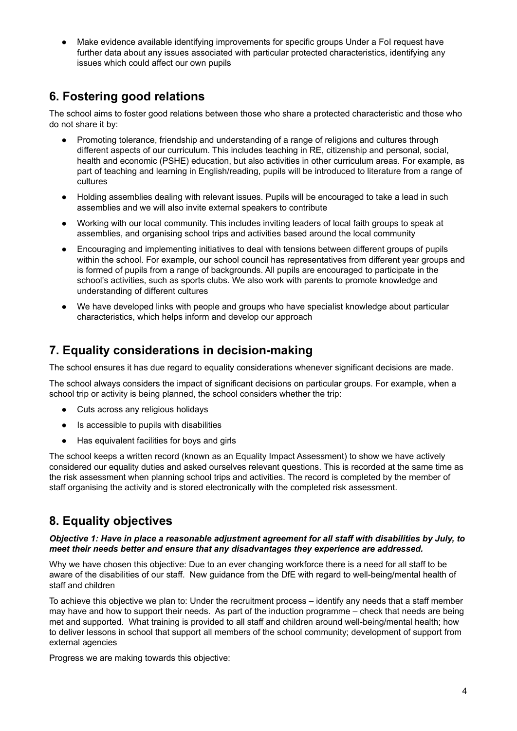<span id="page-3-0"></span>Make evidence available identifying improvements for specific groups Under a FoI request have further data about any issues associated with particular protected characteristics, identifying any issues which could affect our own pupils

# **6. Fostering good relations**

The school aims to foster good relations between those who share a protected characteristic and those who do not share it by:

- Promoting tolerance, friendship and understanding of a range of religions and cultures through different aspects of our curriculum. This includes teaching in RE, citizenship and personal, social, health and economic (PSHE) education, but also activities in other curriculum areas. For example, as part of teaching and learning in English/reading, pupils will be introduced to literature from a range of cultures
- Holding assemblies dealing with relevant issues. Pupils will be encouraged to take a lead in such assemblies and we will also invite external speakers to contribute
- Working with our local community. This includes inviting leaders of local faith groups to speak at assemblies, and organising school trips and activities based around the local community
- Encouraging and implementing initiatives to deal with tensions between different groups of pupils within the school. For example, our school council has representatives from different year groups and is formed of pupils from a range of backgrounds. All pupils are encouraged to participate in the school's activities, such as sports clubs. We also work with parents to promote knowledge and understanding of different cultures
- <span id="page-3-1"></span>We have developed links with people and groups who have specialist knowledge about particular characteristics, which helps inform and develop our approach

## **7. Equality considerations in decision-making**

The school ensures it has due regard to equality considerations whenever significant decisions are made.

The school always considers the impact of significant decisions on particular groups. For example, when a school trip or activity is being planned, the school considers whether the trip:

- Cuts across any religious holidays
- Is accessible to pupils with disabilities
- Has equivalent facilities for boys and girls

<span id="page-3-2"></span>The school keeps a written record (known as an Equality Impact Assessment) to show we have actively considered our equality duties and asked ourselves relevant questions. This is recorded at the same time as the risk assessment when planning school trips and activities. The record is completed by the member of staff organising the activity and is stored electronically with the completed risk assessment.

## **8. Equality objectives**

#### *Objective 1: Have in place a reasonable adjustment agreement for all staff with disabilities by July, to meet their needs better and ensure that any disadvantages they experience are addressed.*

Why we have chosen this objective: Due to an ever changing workforce there is a need for all staff to be aware of the disabilities of our staff. New guidance from the DfE with regard to well-being/mental health of staff and children

To achieve this objective we plan to: Under the recruitment process – identify any needs that a staff member may have and how to support their needs. As part of the induction programme – check that needs are being met and supported. What training is provided to all staff and children around well-being/mental health: how to deliver lessons in school that support all members of the school community; development of support from external agencies

Progress we are making towards this objective: